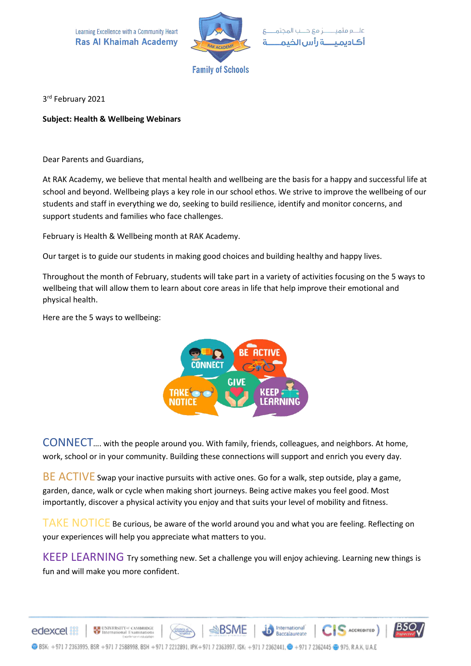

3 rd February 2021

## **Subject: Health & Wellbeing Webinars**

Dear Parents and Guardians,

At RAK Academy, we believe that mental health and wellbeing are the basis for a happy and successful life at school and beyond. Wellbeing plays a key role in our school ethos. We strive to improve the wellbeing of our students and staff in everything we do, seeking to build resilience, identify and monitor concerns, and support students and families who face challenges.

February is Health & Wellbeing month at RAK Academy.

Our target is to guide our students in making good choices and building healthy and happy lives.

Throughout the month of February, students will take part in a variety of activities focusing on the 5 ways to wellbeing that will allow them to learn about core areas in life that help improve their emotional and physical health.

Here are the 5 ways to wellbeing:

edexcel



CONNECT…. with the people around you. With family, friends, colleagues, and neighbors. At home, work, school or in your community. Building these connections will support and enrich you every day.

BE ACTIVE Swap your inactive pursuits with active ones. Go for a walk, step outside, play a game, garden, dance, walk or cycle when making short journeys. Being active makes you feel good. Most importantly, discover a physical activity you enjoy and that suits your level of mobility and fitness.

TAKE NOTICE Be curious, be aware of the world around you and what you are feeling. Reflecting on your experiences will help you appreciate what matters to you.

KEEP LEARNING Try something new. Set a challenge you will enjoy achieving. Learning new things is fun and will make you more confident.

International



 $\bigcap_{i=1}^n$   $S$   $\setminus$   $C$   $\setminus$   $C$ 

**CONSTRUCTION**